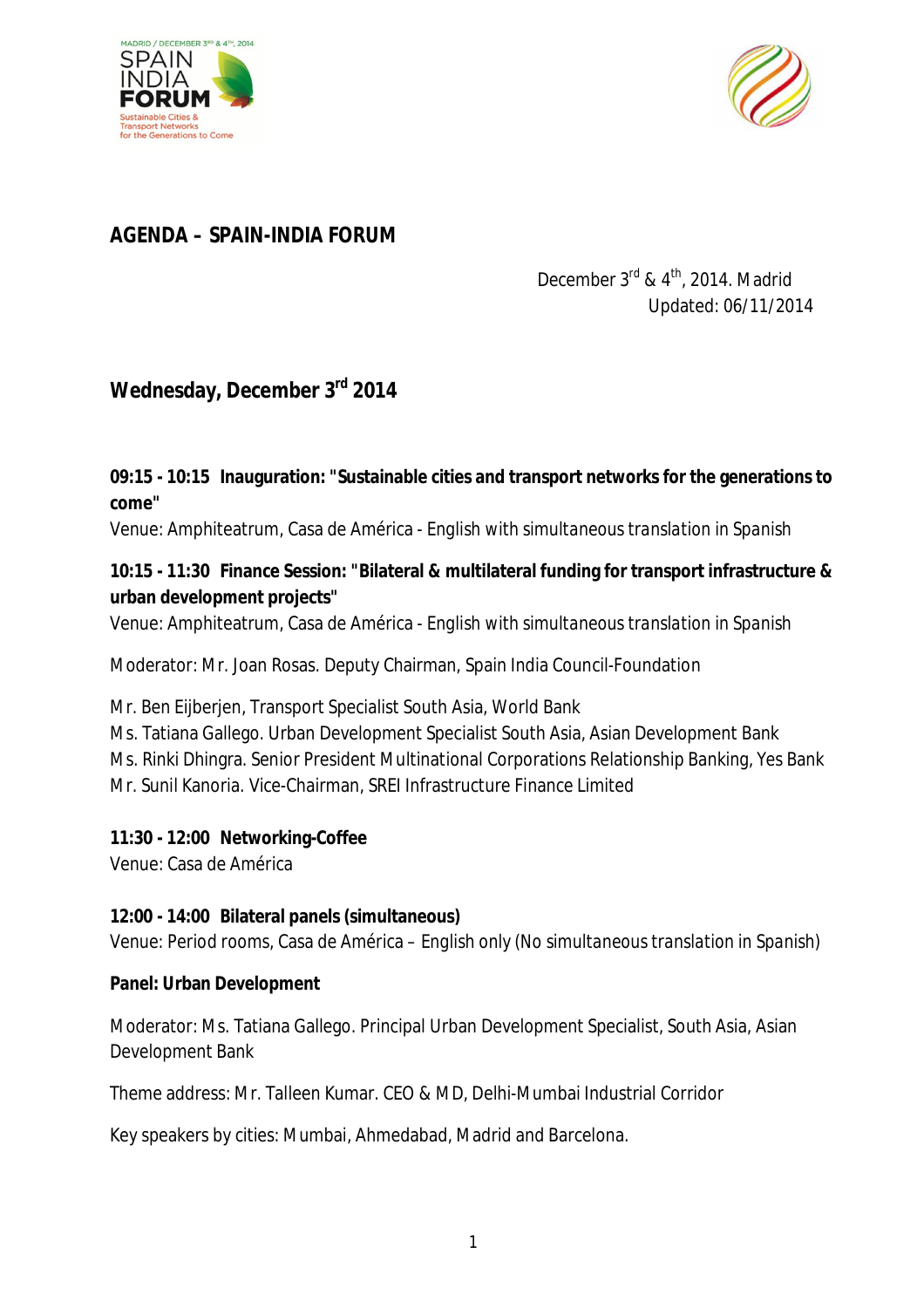



# *AGENDA – SPAIN-INDIA FORUM*

# December 3<sup>rd</sup> & 4<sup>th</sup>, 2014. Madrid Updated: 06/11/2014

# **Wednesday, December 3rd 2014**

#### **09:15 - 10:15 Inauguration: "Sustainable cities and transport networks for the generations to come"**

Venue: Amphiteatrum, Casa de América - *English with simultaneous translation in Spanish*

#### **10:15 - 11:30 Finance Session: "Bilateral & multilateral funding for transport infrastructure & urban development projects"**

Venue: Amphiteatrum, Casa de América - *English with simultaneous translation in Spanish*

Moderator: Mr. Joan Rosas. Deputy Chairman, Spain India Council-Foundation

Mr. Ben Eijberjen, Transport Specialist South Asia, World Bank

Ms. Tatiana Gallego. Urban Development Specialist South Asia, Asian Development Bank Ms. Rinki Dhingra. Senior President Multinational Corporations Relationship Banking, Yes Bank Mr. Sunil Kanoria. Vice-Chairman, SREI Infrastructure Finance Limited

#### **11:30 - 12:00 Networking-Coffee**

Venue: Casa de América

#### **12:00 - 14:00 Bilateral panels (simultaneous)**

Venue: Period rooms, Casa de América – *English only* (*No simultaneous translation in Spanish)*

#### **Panel: Urban Development**

Moderator: Ms. Tatiana Gallego. Principal Urban Development Specialist, South Asia, Asian Development Bank

Theme address: Mr. Talleen Kumar. CEO & MD, Delhi-Mumbai Industrial Corridor

Key speakers by cities: Mumbai, Ahmedabad, Madrid and Barcelona.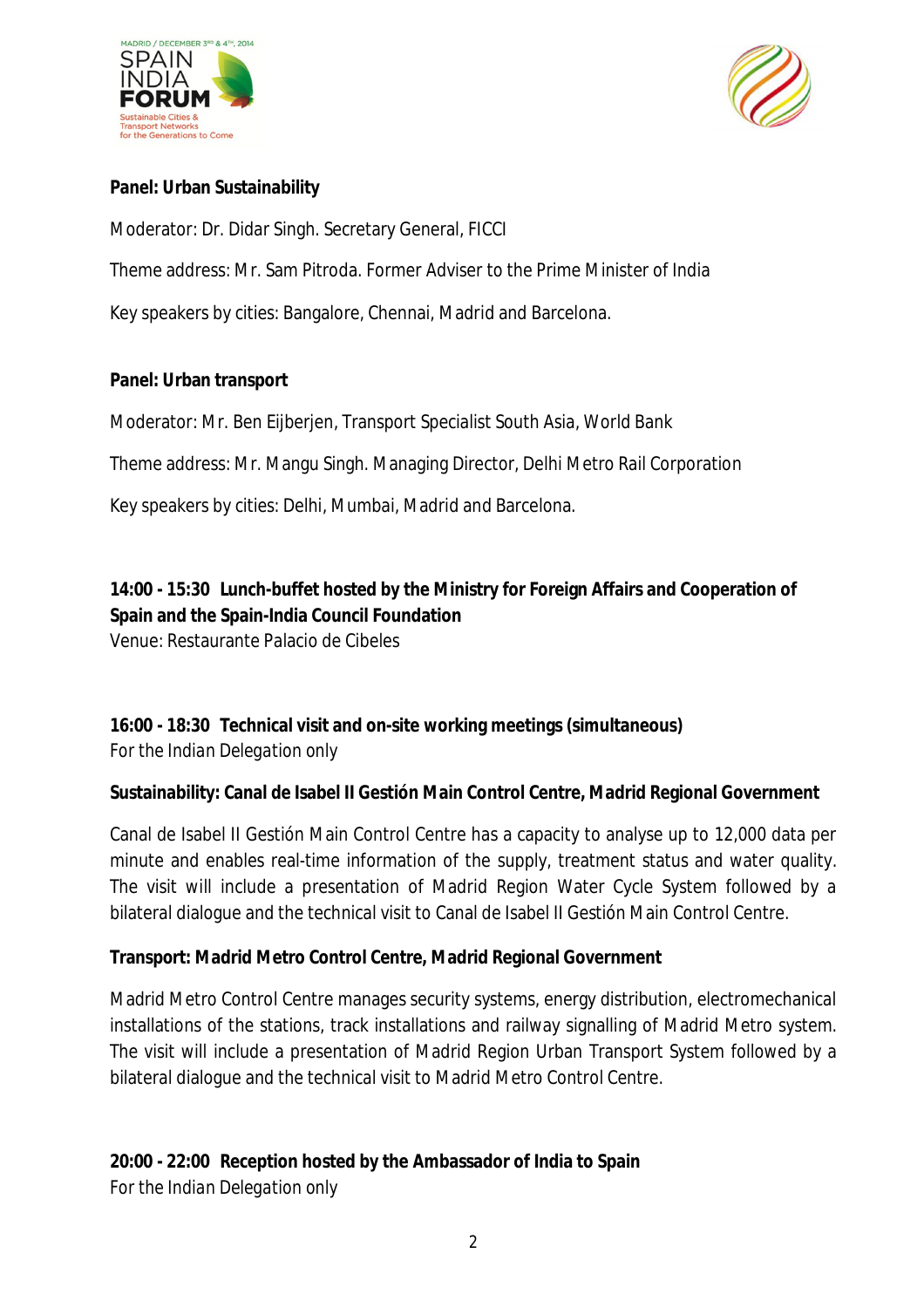



#### **Panel: Urban Sustainability**

Moderator: Dr. Didar Singh. Secretary General, FICCI

Theme address: Mr. Sam Pitroda. Former Adviser to the Prime Minister of India

Key speakers by cities: Bangalore, Chennai, Madrid and Barcelona.

#### **Panel: Urban transport**

Moderator: Mr. Ben Eijberjen, Transport Specialist South Asia, World Bank

Theme address: Mr. Mangu Singh. Managing Director, Delhi Metro Rail Corporation

Key speakers by cities: Delhi, Mumbai, Madrid and Barcelona.

## **14:00 - 15:30 Lunch-buffet hosted by the Ministry for Foreign Affairs and Cooperation of Spain and the Spain-India Council Foundation**

Venue: Restaurante Palacio de Cibeles

# **16:00 - 18:30 Technical visit and on-site working meetings (simultaneous)**

*For the Indian Delegation only*

#### **Sustainability: Canal de Isabel II Gestión Main Control Centre, Madrid Regional Government**

Canal de Isabel II Gestión Main Control Centre has a capacity to analyse up to 12,000 data per minute and enables real-time information of the supply, treatment status and water quality. The visit will include a presentation of Madrid Region Water Cycle System followed by a bilateral dialogue and the technical visit to Canal de Isabel II Gestión Main Control Centre.

#### **Transport: Madrid Metro Control Centre, Madrid Regional Government**

Madrid Metro Control Centre manages security systems, energy distribution, electromechanical installations of the stations, track installations and railway signalling of Madrid Metro system. The visit will include a presentation of Madrid Region Urban Transport System followed by a bilateral dialogue and the technical visit to Madrid Metro Control Centre.

#### **20:00 - 22:00 Reception hosted by the Ambassador of India to Spain**

*For the Indian Delegation only*